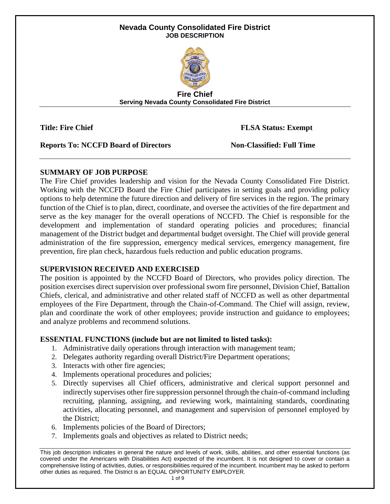### **Nevada County Consolidated Fire District JOB DESCRIPTION**



**Fire Chief Serving Nevada County Consolidated Fire District**

**Title: Fire Chief FLSA Status: Exempt**

**Reports To: NCCFD Board of Directors Non-Classified: Full Time** 

# **SUMMARY OF JOB PURPOSE**

The Fire Chief provides leadership and vision for the Nevada County Consolidated Fire District. Working with the NCCFD Board the Fire Chief participates in setting goals and providing policy options to help determine the future direction and delivery of fire services in the region. The primary function of the Chief is to plan, direct, coordinate, and oversee the activities of the fire department and serve as the key manager for the overall operations of NCCFD. The Chief is responsible for the development and implementation of standard operating policies and procedures; financial management of the District budget and departmental budget oversight. The Chief will provide general administration of the fire suppression, emergency medical services, emergency management, fire prevention, fire plan check, hazardous fuels reduction and public education programs.

# **SUPERVISION RECEIVED AND EXERCISED**

The position is appointed by the NCCFD Board of Directors, who provides policy direction. The position exercises direct supervision over professional sworn fire personnel, Division Chief, Battalion Chiefs, clerical, and administrative and other related staff of NCCFD as well as other departmental employees of the Fire Department, through the Chain-of-Command. The Chief will assign, review, plan and coordinate the work of other employees; provide instruction and guidance to employees; and analyze problems and recommend solutions.

# **ESSENTIAL FUNCTIONS (include but are not limited to listed tasks):**

- 1. Administrative daily operations through interaction with management team;
- 2. Delegates authority regarding overall District/Fire Department operations;
- 3. Interacts with other fire agencies;
- 4. Implements operational procedures and policies;
- 5. Directly supervises all Chief officers, administrative and clerical support personnel and indirectly supervises other fire suppression personnel through the chain-of-command including recruiting, planning, assigning, and reviewing work, maintaining standards, coordinating activities, allocating personnel, and management and supervision of personnel employed by the District;
- 6. Implements policies of the Board of Directors;
- 7. Implements goals and objectives as related to District needs;

This job description indicates in general the nature and levels of work, skills, abilities, and other essential functions (as covered under the Americans with Disabilities Act) expected of the incumbent. It is not designed to cover or contain a comprehensive listing of activities, duties, or responsibilities required of the incumbent. Incumbent may be asked to perform other duties as required. The District is an EQUAL OPPORTUNITY EMPLOYER.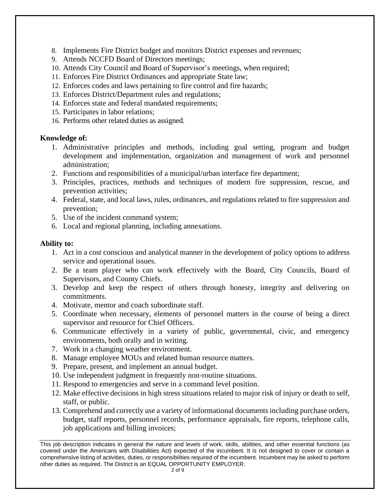- 8. Implements Fire District budget and monitors District expenses and revenues;
- 9. Attends NCCFD Board of Directors meetings;
- 10. Attends City Council and Board of Supervisor's meetings, when required;
- 11. Enforces Fire District Ordinances and appropriate State law;
- 12. Enforces codes and laws pertaining to fire control and fire hazards;
- 13. Enforces District/Department rules and regulations;
- 14. Enforces state and federal mandated requirements;
- 15. Participates in labor relations;
- 16. Performs other related duties as assigned.

### **Knowledge of:**

- 1. Administrative principles and methods, including goal setting, program and budget development and implementation, organization and management of work and personnel administration;
- 2. Functions and responsibilities of a municipal/urban interface fire department;
- 3. Principles, practices, methods and techniques of modern fire suppression, rescue, and prevention activities;
- 4. Federal, state, and local laws, rules, ordinances, and regulations related to fire suppression and prevention;
- 5. Use of the incident command system;
- 6. Local and regional planning, including annexations.

#### **Ability to:**

- 1. Act in a cost conscious and analytical manner in the development of policy options to address service and operational issues.
- 2. Be a team player who can work effectively with the Board, City Councils, Board of Supervisors, and County Chiefs.
- 3. Develop and keep the respect of others through honesty, integrity and delivering on commitments.
- 4. Motivate, mentor and coach subordinate staff.
- 5. Coordinate when necessary, elements of personnel matters in the course of being a direct supervisor and resource for Chief Officers.
- 6. Communicate effectively in a variety of public, governmental, civic, and emergency environments, both orally and in writing.
- 7. Work in a changing weather environment.
- 8. Manage employee MOUs and related human resource matters.
- 9. Prepare, present, and implement an annual budget.
- 10. Use independent judgment in frequently non-routine situations.
- 11. Respond to emergencies and serve in a command level position.
- 12. Make effective decisions in high stress situations related to major risk of injury or death to self, staff, or public.
- 13. Comprehend and correctly use a variety of informational documents including purchase orders, budget, staff reports, personnel records, performance appraisals, fire reports, telephone calls, job applications and billing invoices;

This job description indicates in general the nature and levels of work, skills, abilities, and other essential functions (as covered under the Americans with Disabilities Act) expected of the incumbent. It is not designed to cover or contain a comprehensive listing of activities, duties, or responsibilities required of the incumbent. Incumbent may be asked to perform other duties as required. The District is an EQUAL OPPORTUNITY EMPLOYER.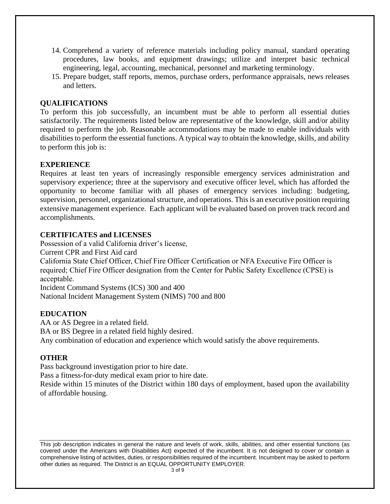- 14. Comprehend a variety of reference materials including policy manual, standard operating procedures, law books, and equipment drawings; utilize and interpret basic technical engineering, legal, accounting, mechanical, personnel and marketing terminology.
- 15. Prepare budget, staff reports, memos, purchase orders, performance appraisals, news releases and letters.

# **QUALIFICATIONS**

To perform this job successfully, an incumbent must be able to perform all essential duties satisfactorily. The requirements listed below are representative of the knowledge, skill and/or ability required to perform the job. Reasonable accommodations may be made to enable individuals with disabilities to perform the essential functions. A typical way to obtain the knowledge, skills, and ability to perform this job is:

# **EXPERIENCE**

Requires at least ten years of increasingly responsible emergency services administration and supervisory experience; three at the supervisory and executive officer level, which has afforded the opportunity to become familiar with all phases of emergency services including: budgeting, supervision, personnel, organizational structure, and operations. This is an executive position requiring extensive management experience. Each applicant will be evaluated based on proven track record and accomplishments.

# **CERTIFICATES and LICENSES**

Possession of a valid California driver's license,

Current CPR and First Aid card

California State Chief Officer, Chief Fire Officer Certification or NFA Executive Fire Officer is required; Chief Fire Officer designation from the Center for Public Safety Excellence (CPSE) is acceptable.

Incident Command Systems (ICS) 300 and 400 National Incident Management System (NIMS) 700 and 800

# **EDUCATION**

AA or AS Degree in a related field. BA or BS Degree in a related field highly desired. Any combination of education and experience which would satisfy the above requirements.

# **OTHER**

Pass background investigation prior to hire date.

Pass a fitness-for-duty medical exam prior to hire date.

Reside within 15 minutes of the District within 180 days of employment, based upon the availability of affordable housing.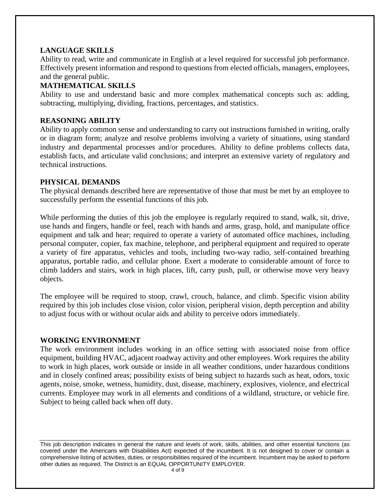### **LANGUAGE SKILLS**

Ability to read, write and communicate in English at a level required for successful job performance. Effectively present information and respond to questions from elected officials, managers, employees, and the general public.

## **MATHEMATICAL SKILLS**

Ability to use and understand basic and more complex mathematical concepts such as: adding, subtracting, multiplying, dividing, fractions, percentages, and statistics.

## **REASONING ABILITY**

Ability to apply common sense and understanding to carry out instructions furnished in writing, orally or in diagram form; analyze and resolve problems involving a variety of situations, using standard industry and departmental processes and/or procedures. Ability to define problems collects data, establish facts, and articulate valid conclusions; and interpret an extensive variety of regulatory and technical instructions.

#### **PHYSICAL DEMANDS**

The physical demands described here are representative of those that must be met by an employee to successfully perform the essential functions of this job.

While performing the duties of this job the employee is regularly required to stand, walk, sit, drive, use hands and fingers, handle or feel, reach with hands and arms, grasp, hold, and manipulate office equipment and talk and hear; required to operate a variety of automated office machines, including personal computer, copier, fax machine, telephone, and peripheral equipment and required to operate a variety of fire apparatus, vehicles and tools, including two-way radio, self-contained breathing apparatus, portable radio, and cellular phone. Exert a moderate to considerable amount of force to climb ladders and stairs, work in high places, lift, carry push, pull, or otherwise move very heavy objects.

The employee will be required to stoop, crawl, crouch, balance, and climb. Specific vision ability required by this job includes close vision, color vision, peripheral vision, depth perception and ability to adjust focus with or without ocular aids and ability to perceive odors immediately.

#### **WORKING ENVIRONMENT**

The work environment includes working in an office setting with associated noise from office equipment, building HVAC, adjacent roadway activity and other employees. Work requires the ability to work in high places, work outside or inside in all weather conditions, under hazardous conditions and in closely confined areas; possibility exists of being subject to hazards such as heat, odors, toxic agents, noise, smoke, wetness, humidity, dust, disease, machinery, explosives, violence, and electrical currents. Employee may work in all elements and conditions of a wildland, structure, or vehicle fire. Subject to being called back when off duty.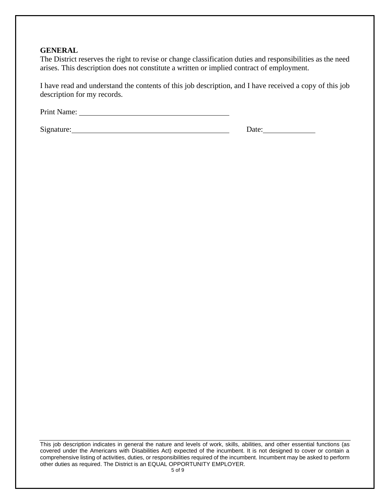#### **GENERAL**

The District reserves the right to revise or change classification duties and responsibilities as the need arises. This description does not constitute a written or implied contract of employment.

I have read and understand the contents of this job description, and I have received a copy of this job description for my records.

Print Name:

Signature: Date: Date: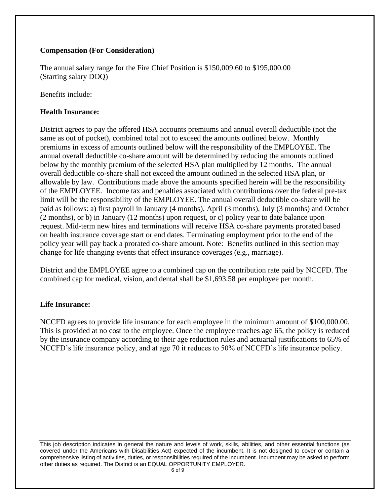# **Compensation (For Consideration)**

The annual salary range for the Fire Chief Position is \$150,009.60 to \$195,000.00 (Starting salary DOQ)

Benefits include:

## **Health Insurance:**

District agrees to pay the offered HSA accounts premiums and annual overall deductible (not the same as out of pocket), combined total not to exceed the amounts outlined below. Monthly premiums in excess of amounts outlined below will the responsibility of the EMPLOYEE. The annual overall deductible co-share amount will be determined by reducing the amounts outlined below by the monthly premium of the selected HSA plan multiplied by 12 months. The annual overall deductible co-share shall not exceed the amount outlined in the selected HSA plan, or allowable by law. Contributions made above the amounts specified herein will be the responsibility of the EMPLOYEE. Income tax and penalties associated with contributions over the federal pre-tax limit will be the responsibility of the EMPLOYEE. The annual overall deductible co-share will be paid as follows: a) first payroll in January (4 months), April (3 months), July (3 months) and October (2 months), or b) in January (12 months) upon request, or c) policy year to date balance upon request. Mid-term new hires and terminations will receive HSA co-share payments prorated based on health insurance coverage start or end dates. Terminating employment prior to the end of the policy year will pay back a prorated co-share amount. Note: Benefits outlined in this section may change for life changing events that effect insurance coverages (e.g., marriage).

District and the EMPLOYEE agree to a combined cap on the contribution rate paid by NCCFD. The combined cap for medical, vision, and dental shall be \$1,693.58 per employee per month.

# **Life Insurance:**

NCCFD agrees to provide life insurance for each employee in the minimum amount of \$100,000.00. This is provided at no cost to the employee. Once the employee reaches age 65, the policy is reduced by the insurance company according to their age reduction rules and actuarial justifications to 65% of NCCFD's life insurance policy, and at age 70 it reduces to 50% of NCCFD's life insurance policy.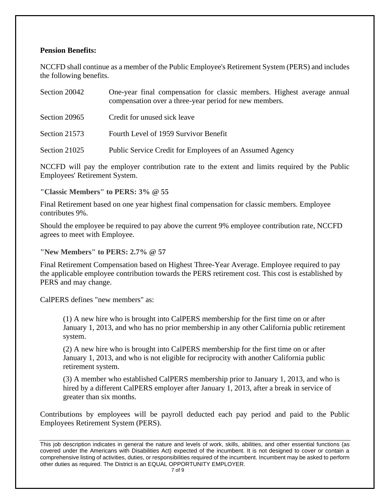### **Pension Benefits:**

NCCFD shall continue as a member of the Public Employee's Retirement System (PERS) and includes the following benefits.

| Section 20042 | One-year final compensation for classic members. Highest average annual<br>compensation over a three-year period for new members. |
|---------------|-----------------------------------------------------------------------------------------------------------------------------------|
| Section 20965 | Credit for unused sick leave                                                                                                      |
| Section 21573 | Fourth Level of 1959 Survivor Benefit                                                                                             |
| Section 21025 | Public Service Credit for Employees of an Assumed Agency                                                                          |

NCCFD will pay the employer contribution rate to the extent and limits required by the Public Employees' Retirement System.

**"Classic Members" to PERS: 3% @ 55**

Final Retirement based on one year highest final compensation for classic members. Employee contributes 9%.

Should the employee be required to pay above the current 9% employee contribution rate, NCCFD agrees to meet with Employee.

**"New Members" to PERS: 2.7% @ 57**

Final Retirement Compensation based on Highest Three-Year Average. Employee required to pay the applicable employee contribution towards the PERS retirement cost. This cost is established by PERS and may change.

CalPERS defines "new members" as:

(1) A new hire who is brought into CalPERS membership for the first time on or after January 1, 2013, and who has no prior membership in any other California public retirement system.

(2) A new hire who is brought into CalPERS membership for the first time on or after January 1, 2013, and who is not eligible for reciprocity with another California public retirement system.

(3) A member who established CalPERS membership prior to January 1, 2013, and who is hired by a different CalPERS employer after January 1, 2013, after a break in service of greater than six months.

Contributions by employees will be payroll deducted each pay period and paid to the Public Employees Retirement System (PERS).

This job description indicates in general the nature and levels of work, skills, abilities, and other essential functions (as covered under the Americans with Disabilities Act) expected of the incumbent. It is not designed to cover or contain a comprehensive listing of activities, duties, or responsibilities required of the incumbent. Incumbent may be asked to perform other duties as required. The District is an EQUAL OPPORTUNITY EMPLOYER.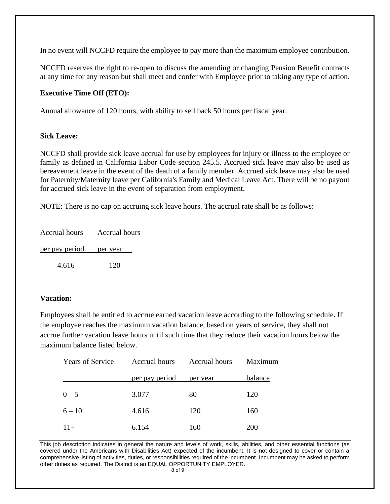In no event will NCCFD require the employee to pay more than the maximum employee contribution.

NCCFD reserves the right to re-open to discuss the amending or changing Pension Benefit contracts at any time for any reason but shall meet and confer with Employee prior to taking any type of action.

## **Executive Time Off (ETO):**

Annual allowance of 120 hours, with ability to sell back 50 hours per fiscal year.

### **Sick Leave:**

NCCFD shall provide sick leave accrual for use by employees for injury or illness to the employee or family as defined in California Labor Code section 245.5. Accrued sick leave may also be used as bereavement leave in the event of the death of a family member. Accrued sick leave may also be used for Paternity/Maternity leave per California's Family and Medical Leave Act. There will be no payout for accrued sick leave in the event of separation from employment.

NOTE: There is no cap on accruing sick leave hours. The accrual rate shall be as follows:

| Accrual hours           | <b>Accrual hours</b> |  |
|-------------------------|----------------------|--|
| per pay period per year |                      |  |
| 4.616                   | 120                  |  |

# **Vacation:**

Employees shall be entitled to accrue earned vacation leave according to the following schedule**.** If the employee reaches the maximum vacation balance, based on years of service, they shall not accrue further vacation leave hours until such time that they reduce their vacation hours below the maximum balance listed below.

| <b>Years of Service</b> | Accrual hours  | <b>Accrual hours</b> | Maximum    |
|-------------------------|----------------|----------------------|------------|
|                         | per pay period | per year             | balance    |
| $0 - 5$                 | 3.077          | 80                   | 120        |
| $6 - 10$                | 4.616          | 120                  | 160        |
| $11+$                   | 6.154          | 160                  | <b>200</b> |